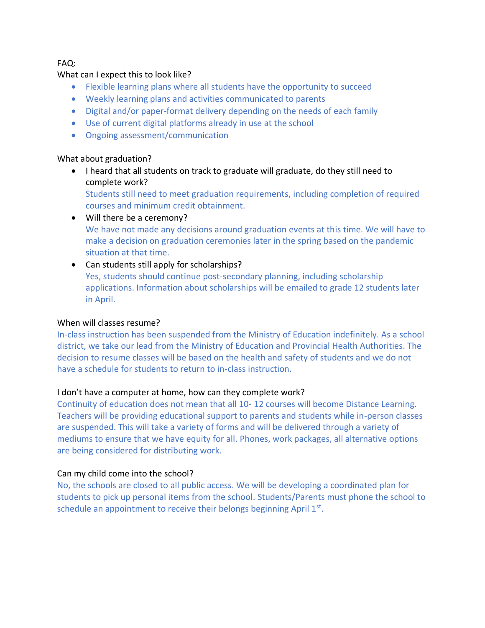FAQ:

### What can I expect this to look like?

- Flexible learning plans where all students have the opportunity to succeed
- Weekly learning plans and activities communicated to parents
- Digital and/or paper-format delivery depending on the needs of each family
- Use of current digital platforms already in use at the school
- Ongoing assessment/communication

### What about graduation?

• I heard that all students on track to graduate will graduate, do they still need to complete work?

Students still need to meet graduation requirements, including completion of required courses and minimum credit obtainment.

- Will there be a ceremony? We have not made any decisions around graduation events at this time. We will have to make a decision on graduation ceremonies later in the spring based on the pandemic situation at that time.
- Can students still apply for scholarships? Yes, students should continue post-secondary planning, including scholarship applications. Information about scholarships will be emailed to grade 12 students later in April.

### When will classes resume?

In-class instruction has been suspended from the Ministry of Education indefinitely. As a school district, we take our lead from the Ministry of Education and Provincial Health Authorities. The decision to resume classes will be based on the health and safety of students and we do not have a schedule for students to return to in-class instruction.

### I don't have a computer at home, how can they complete work?

Continuity of education does not mean that all 10- 12 courses will become Distance Learning. Teachers will be providing educational support to parents and students while in-person classes are suspended. This will take a variety of forms and will be delivered through a variety of mediums to ensure that we have equity for all. Phones, work packages, all alternative options are being considered for distributing work.

### Can my child come into the school?

No, the schools are closed to all public access. We will be developing a coordinated plan for students to pick up personal items from the school. Students/Parents must phone the school to schedule an appointment to receive their belongs beginning April 1<sup>st</sup>.